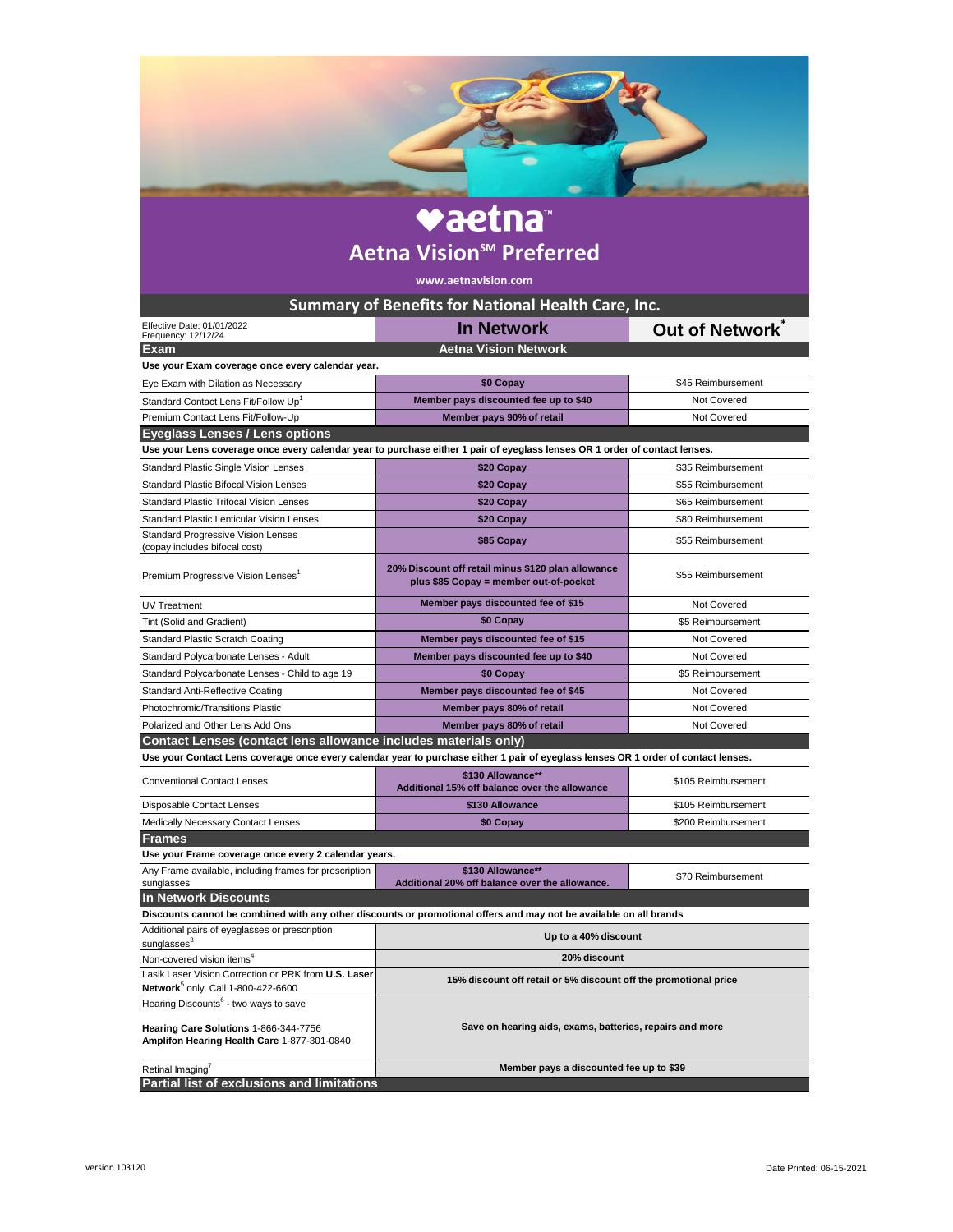| <b>vaetna</b> ™<br><b>Aetna Vision<sup>sM</sup> Preferred</b><br>www.aetnavision.com                                                                                |                                                                                                                                    |                     |
|---------------------------------------------------------------------------------------------------------------------------------------------------------------------|------------------------------------------------------------------------------------------------------------------------------------|---------------------|
|                                                                                                                                                                     |                                                                                                                                    |                     |
|                                                                                                                                                                     |                                                                                                                                    |                     |
| Effective Date: 01/01/2022<br>Frequency: 12/12/24                                                                                                                   | <b>In Network</b>                                                                                                                  | Out of Network      |
| Exam                                                                                                                                                                | <b>Aetna Vision Network</b>                                                                                                        |                     |
| Use your Exam coverage once every calendar year.                                                                                                                    |                                                                                                                                    |                     |
| Eye Exam with Dilation as Necessary                                                                                                                                 | \$0 Copay                                                                                                                          | \$45 Reimbursement  |
| Standard Contact Lens Fit/Follow Up <sup>1</sup>                                                                                                                    | Member pays discounted fee up to \$40                                                                                              | <b>Not Covered</b>  |
| Premium Contact Lens Fit/Follow-Up                                                                                                                                  | Member pays 90% of retail                                                                                                          | Not Covered         |
| <b>Eyeglass Lenses / Lens options</b><br>Use your Lens coverage once every calendar year to purchase either 1 pair of eyeglass lenses OR 1 order of contact lenses. |                                                                                                                                    |                     |
|                                                                                                                                                                     |                                                                                                                                    | \$35 Reimbursement  |
| <b>Standard Plastic Single Vision Lenses</b><br><b>Standard Plastic Bifocal Vision Lenses</b>                                                                       | \$20 Copay<br>\$20 Copay                                                                                                           | \$55 Reimbursement  |
| <b>Standard Plastic Trifocal Vision Lenses</b>                                                                                                                      |                                                                                                                                    | \$65 Reimbursement  |
| <b>Standard Plastic Lenticular Vision Lenses</b>                                                                                                                    | \$20 Copay<br>\$20 Copay                                                                                                           | \$80 Reimbursement  |
| <b>Standard Progressive Vision Lenses</b>                                                                                                                           |                                                                                                                                    |                     |
| (copay includes bifocal cost)                                                                                                                                       | \$85 Copay                                                                                                                         | \$55 Reimbursement  |
| Premium Progressive Vision Lenses <sup>1</sup>                                                                                                                      | 20% Discount off retail minus \$120 plan allowance<br>plus \$85 Copay = member out-of-pocket                                       | \$55 Reimbursement  |
| <b>UV Treatment</b>                                                                                                                                                 | Member pays discounted fee of \$15                                                                                                 | <b>Not Covered</b>  |
| Tint (Solid and Gradient)                                                                                                                                           | \$0 Copay                                                                                                                          | \$5 Reimbursement   |
| <b>Standard Plastic Scratch Coating</b>                                                                                                                             | Member pays discounted fee of \$15                                                                                                 | Not Covered         |
| Standard Polycarbonate Lenses - Adult                                                                                                                               | Member pays discounted fee up to \$40                                                                                              | <b>Not Covered</b>  |
| Standard Polycarbonate Lenses - Child to age 19                                                                                                                     | \$0 Copay                                                                                                                          | \$5 Reimbursement   |
| Standard Anti-Reflective Coating                                                                                                                                    | Member pays discounted fee of \$45                                                                                                 | <b>Not Covered</b>  |
| Photochromic/Transitions Plastic                                                                                                                                    | Member pays 80% of retail                                                                                                          | <b>Not Covered</b>  |
| Polarized and Other Lens Add Ons                                                                                                                                    | Member pays 80% of retail                                                                                                          | Not Covered         |
| Contact Lenses (contact lens allowance includes materials only)                                                                                                     |                                                                                                                                    |                     |
|                                                                                                                                                                     | Use your Contact Lens coverage once every calendar year to purchase either 1 pair of eyeglass lenses OR 1 order of contact lenses. |                     |
| <b>Conventional Contact Lenses</b>                                                                                                                                  | \$130 Allowance**<br>Additional 15% off balance over the allowance                                                                 | \$105 Reimbursement |
| Disposable Contact Lenses                                                                                                                                           | \$130 Allowance                                                                                                                    | \$105 Reimbursement |
| <b>Medically Necessary Contact Lenses</b>                                                                                                                           | \$0 Copay                                                                                                                          | \$200 Reimbursement |
| <b>Frames</b>                                                                                                                                                       |                                                                                                                                    |                     |
| Use your Frame coverage once every 2 calendar years.                                                                                                                |                                                                                                                                    |                     |
| Any Frame available, including frames for prescription<br>sunglasses                                                                                                | \$130 Allowance**<br>Additional 20% off balance over the allowance.                                                                | \$70 Reimbursement  |
| <b>In Network Discounts</b>                                                                                                                                         |                                                                                                                                    |                     |
|                                                                                                                                                                     | Discounts cannot be combined with any other discounts or promotional offers and may not be available on all brands                 |                     |
| Additional pairs of eyeglasses or prescription<br>sunglasses <sup>3</sup>                                                                                           | Up to a 40% discount                                                                                                               |                     |
| Non-covered vision items <sup>4</sup>                                                                                                                               | 20% discount                                                                                                                       |                     |
| Lasik Laser Vision Correction or PRK from U.S. Laser                                                                                                                | 15% discount off retail or 5% discount off the promotional price                                                                   |                     |
| Network <sup>5</sup> only. Call 1-800-422-6600<br>Hearing Discounts <sup>6</sup> - two ways to save                                                                 |                                                                                                                                    |                     |
| Hearing Care Solutions 1-866-344-7756<br>Amplifon Hearing Health Care 1-877-301-0840                                                                                | Save on hearing aids, exams, batteries, repairs and more                                                                           |                     |
|                                                                                                                                                                     |                                                                                                                                    |                     |
| Retinal Imaging<br>Partial list of exclusions and limitations                                                                                                       | Member pays a discounted fee up to \$39                                                                                            |                     |